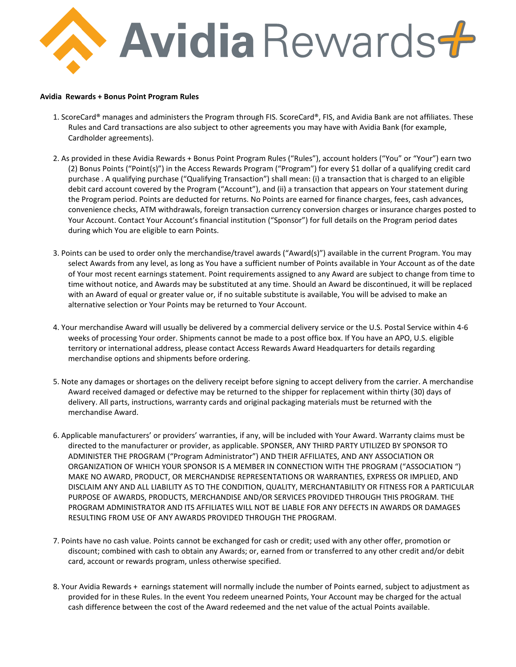

## **Avidia Rewards + Bonus Point Program Rules**

- 1. ScoreCard® manages and administers the Program through FIS. ScoreCard®, FIS, and Avidia Bank are not affiliates. These Rules and Card transactions are also subject to other agreements you may have with Avidia Bank (for example, Cardholder agreements).
- 2. As provided in these Avidia Rewards + Bonus Point Program Rules ("Rules"), account holders ("You" or "Your") earn two (2) Bonus Points ("Point(s)") in the Access Rewards Program ("Program") for every \$1 dollar of a qualifying credit card purchase . A qualifying purchase ("Qualifying Transaction") shall mean: (i) a transaction that is charged to an eligible debit card account covered by the Program ("Account"), and (ii) a transaction that appears on Your statement during the Program period. Points are deducted for returns. No Points are earned for finance charges, fees, cash advances, convenience checks, ATM withdrawals, foreign transaction currency conversion charges or insurance charges posted to Your Account. Contact Your Account's financial institution ("Sponsor") for full details on the Program period dates during which You are eligible to earn Points.
- 3. Points can be used to order only the merchandise/travel awards ("Award(s)") available in the current Program. You may select Awards from any level, as long as You have a sufficient number of Points available in Your Account as of the date of Your most recent earnings statement. Point requirements assigned to any Award are subject to change from time to time without notice, and Awards may be substituted at any time. Should an Award be discontinued, it will be replaced with an Award of equal or greater value or, if no suitable substitute is available, You will be advised to make an alternative selection or Your Points may be returned to Your Account.
- 4. Your merchandise Award will usually be delivered by a commercial delivery service or the U.S. Postal Service within 4-6 weeks of processing Your order. Shipments cannot be made to a post office box. If You have an APO, U.S. eligible territory or international address, please contact Access Rewards Award Headquarters for details regarding merchandise options and shipments before ordering.
- 5. Note any damages or shortages on the delivery receipt before signing to accept delivery from the carrier. A merchandise Award received damaged or defective may be returned to the shipper for replacement within thirty (30) days of delivery. All parts, instructions, warranty cards and original packaging materials must be returned with the merchandise Award.
- 6. Applicable manufacturers' or providers' warranties, if any, will be included with Your Award. Warranty claims must be directed to the manufacturer or provider, as applicable. SPONSER, ANY THIRD PARTY UTILIZED BY SPONSOR TO ADMINISTER THE PROGRAM ("Program Administrator") AND THEIR AFFILIATES, AND ANY ASSOCIATION OR ORGANIZATION OF WHICH YOUR SPONSOR IS A MEMBER IN CONNECTION WITH THE PROGRAM ("ASSOCIATION ") MAKE NO AWARD, PRODUCT, OR MERCHANDISE REPRESENTATIONS OR WARRANTIES, EXPRESS OR IMPLIED, AND DISCLAIM ANY AND ALL LIABILITY AS TO THE CONDITION, QUALITY, MERCHANTABILITY OR FITNESS FOR A PARTICULAR PURPOSE OF AWARDS, PRODUCTS, MERCHANDISE AND/OR SERVICES PROVIDED THROUGH THIS PROGRAM. THE PROGRAM ADMINISTRATOR AND ITS AFFILIATES WILL NOT BE LIABLE FOR ANY DEFECTS IN AWARDS OR DAMAGES RESULTING FROM USE OF ANY AWARDS PROVIDED THROUGH THE PROGRAM.
- 7. Points have no cash value. Points cannot be exchanged for cash or credit; used with any other offer, promotion or discount; combined with cash to obtain any Awards; or, earned from or transferred to any other credit and/or debit card, account or rewards program, unless otherwise specified.
- 8. Your Avidia Rewards + earnings statement will normally include the number of Points earned, subject to adjustment as provided for in these Rules. In the event You redeem unearned Points, Your Account may be charged for the actual cash difference between the cost of the Award redeemed and the net value of the actual Points available.